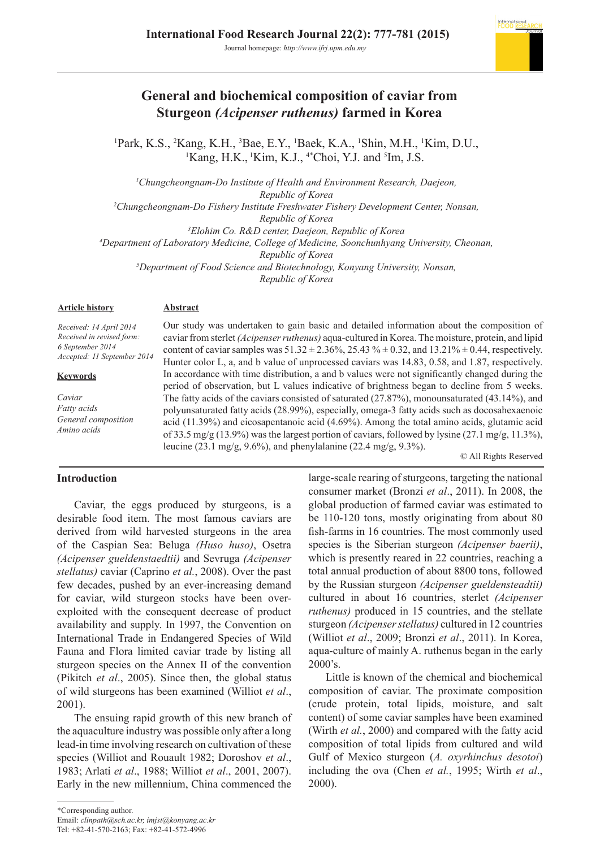

# **General and biochemical composition of caviar from Sturgeon** *(Acipenser ruthenus)* **farmed in Korea**

<sup>1</sup>Park, K.S., <sup>2</sup>Kang, K.H., <sup>3</sup>Bae, E.Y., <sup>1</sup>Baek, K.A., <sup>1</sup>Shin, M.H., <sup>1</sup>Kim, D.U.,  ${}^{1}$ Kang, H.K.,  ${}^{1}$ Kim, K.J.,  ${}^{4*}$ Choi, Y.J. and  ${}^{5}$ Im, J.S.

*1 Chungcheongnam-Do Institute of Health and Environment Research, Daejeon, Republic of Korea*

*2 Chungcheongnam-Do Fishery Institute Freshwater Fishery Development Center, Nonsan, Republic of Korea*

*3 Elohim Co. R&D center, Daejeon, Republic of Korea*

*4 Department of Laboratory Medicine, College of Medicine, Soonchunhyang University, Cheonan,* 

*Republic of Korea*

*5 Department of Food Science and Biotechnology, Konyang University, Nonsan,* 

*Republic of Korea*

# **Article history**

# **Abstract**

*Received: 14 April 2014 Received in revised form: 6 September 2014 Accepted: 11 September 2014*

# **Keywords**

*Caviar Fatty acids General composition Amino acids* 

Our study was undertaken to gain basic and detailed information about the composition of caviar from sterlet *(Acipenser ruthenus)* aqua-cultured in Korea. The moisture, protein, and lipid content of caviar samples was  $51.32 \pm 2.36\%$ ,  $25.43\% \pm 0.32$ , and  $13.21\% \pm 0.44$ , respectively. Hunter color L, a, and b value of unprocessed caviars was 14.83, 0.58, and 1.87, respectively. In accordance with time distribution, a and b values were not significantly changed during the period of observation, but L values indicative of brightness began to decline from 5 weeks. The fatty acids of the caviars consisted of saturated (27.87%), monounsaturated (43.14%), and polyunsaturated fatty acids (28.99%), especially, omega-3 fatty acids such as docosahexaenoic acid (11.39%) and eicosapentanoic acid (4.69%). Among the total amino acids, glutamic acid of 33.5 mg/g (13.9%) was the largest portion of caviars, followed by lysine (27.1 mg/g, 11.3%), leucine (23.1 mg/g, 9.6%), and phenylalanine (22.4 mg/g, 9.3%).

© All Rights Reserved

# **Introduction**

Caviar, the eggs produced by sturgeons, is a desirable food item. The most famous caviars are derived from wild harvested sturgeons in the area of the Caspian Sea: Beluga *(Huso huso)*, Osetra *(Acipenser gueldenstaedtii)* and Sevruga *(Acipenser stellatus)* caviar (Caprino *et al.*, 2008). Over the past few decades, pushed by an ever-increasing demand for caviar, wild sturgeon stocks have been overexploited with the consequent decrease of product availability and supply. In 1997, the Convention on International Trade in Endangered Species of Wild Fauna and Flora limited caviar trade by listing all sturgeon species on the Annex II of the convention (Pikitch *et al*., 2005). Since then, the global status of wild sturgeons has been examined (Williot *et al*., 2001).

The ensuing rapid growth of this new branch of the aquaculture industry was possible only after a long lead-in time involving research on cultivation of these species (Williot and Rouault 1982; Doroshov *et al*., 1983; Arlati *et al*., 1988; Williot *et al*., 2001, 2007). Early in the new millennium, China commenced the

large-scale rearing of sturgeons, targeting the national consumer market (Bronzi *et al*., 2011). In 2008, the global production of farmed caviar was estimated to be 110-120 tons, mostly originating from about 80 fish-farms in 16 countries. The most commonly used species is the Siberian sturgeon *(Acipenser baerii)*, which is presently reared in 22 countries, reaching a total annual production of about 8800 tons, followed by the Russian sturgeon *(Acipenser gueldensteadtii)*  cultured in about 16 countries, sterlet *(Acipenser ruthenus)* produced in 15 countries, and the stellate sturgeon *(Acipenser stellatus)* cultured in 12 countries (Williot *et al*., 2009; Bronzi *et al*., 2011). In Korea, aqua-culture of mainly A. ruthenus began in the early 2000's.

Little is known of the chemical and biochemical composition of caviar. The proximate composition (crude protein, total lipids, moisture, and salt content) of some caviar samples have been examined (Wirth *et al.*, 2000) and compared with the fatty acid composition of total lipids from cultured and wild Gulf of Mexico sturgeon (*A. oxyrhinchus desotoi*) including the ova (Chen *et al.*, 1995; Wirth *et al*., 2000).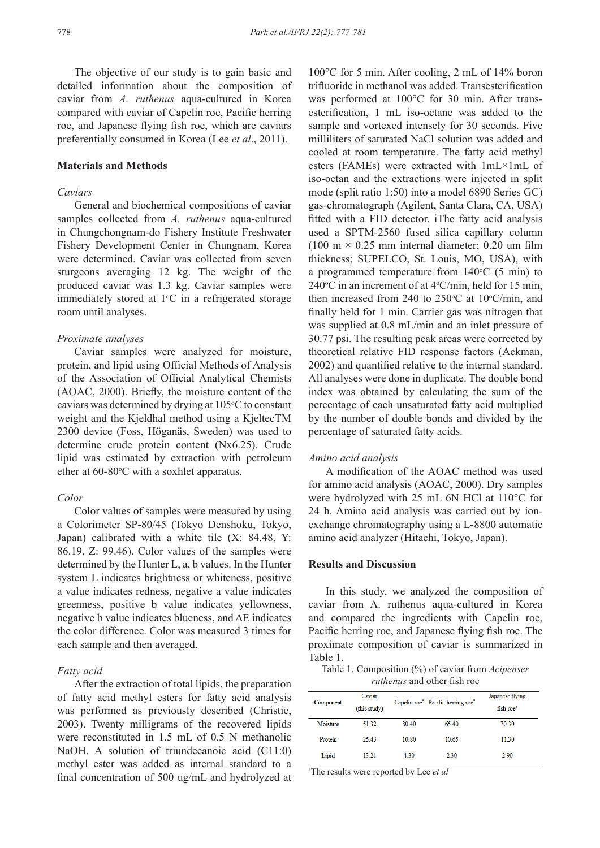The objective of our study is to gain basic and detailed information about the composition of caviar from *A. ruthenus* aqua-cultured in Korea compared with caviar of Capelin roe, Pacific herring roe, and Japanese flying fish roe, which are caviars preferentially consumed in Korea (Lee *et al*., 2011).

## **Materials and Methods**

# *Caviars*

General and biochemical compositions of caviar samples collected from *A. ruthenus* aqua-cultured in Chungchongnam-do Fishery Institute Freshwater Fishery Development Center in Chungnam, Korea were determined. Caviar was collected from seven sturgeons averaging 12 kg. The weight of the produced caviar was 1.3 kg. Caviar samples were immediately stored at  $1^{\circ}$ C in a refrigerated storage room until analyses.

#### *Proximate analyses*

Caviar samples were analyzed for moisture, protein, and lipid using Official Methods of Analysis of the Association of Official Analytical Chemists (AOAC, 2000). Briefly, the moisture content of the caviars was determined by drying at 105°C to constant weight and the Kjeldhal method using a KjeltecTM 2300 device (Foss, Höganäs, Sweden) was used to determine crude protein content (Nx6.25). Crude lipid was estimated by extraction with petroleum ether at  $60-80$ °C with a soxhlet apparatus.

#### *Color*

Color values of samples were measured by using a Colorimeter SP-80/45 (Tokyo Denshoku, Tokyo, Japan) calibrated with a white tile (X: 84.48, Y: 86.19, Z: 99.46). Color values of the samples were determined by the Hunter L, a, b values. In the Hunter system L indicates brightness or whiteness, positive a value indicates redness, negative a value indicates greenness, positive b value indicates yellowness, negative b value indicates blueness, and ΔE indicates the color difference. Color was measured 3 times for each sample and then averaged.

# *Fatty acid*

After the extraction of total lipids, the preparation of fatty acid methyl esters for fatty acid analysis was performed as previously described (Christie, 2003). Twenty milligrams of the recovered lipids were reconstituted in 1.5 mL of 0.5 N methanolic NaOH. A solution of triundecanoic acid (C11:0) methyl ester was added as internal standard to a final concentration of 500 ug/mL and hydrolyzed at

100°C for 5 min. After cooling, 2 mL of 14% boron trifluoride in methanol was added. Transesterification was performed at 100°C for 30 min. After transesterification, 1 mL iso-octane was added to the sample and vortexed intensely for 30 seconds. Five milliliters of saturated NaCl solution was added and cooled at room temperature. The fatty acid methyl esters (FAMEs) were extracted with 1mL×1mL of iso-octan and the extractions were injected in split mode (split ratio 1:50) into a model 6890 Series GC) gas-chromatograph (Agilent, Santa Clara, CA, USA) fitted with a FID detector. iThe fatty acid analysis used a SPTM-2560 fused silica capillary column (100 m  $\times$  0.25 mm internal diameter; 0.20 um film thickness; SUPELCO, St. Louis, MO, USA), with a programmed temperature from  $140^{\circ}$ C (5 min) to 240 $\degree$ C in an increment of at 4 $\degree$ C/min, held for 15 min, then increased from 240 to 250 $\degree$ C at 10 $\degree$ C/min, and finally held for 1 min. Carrier gas was nitrogen that was supplied at 0.8 mL/min and an inlet pressure of 30.77 psi. The resulting peak areas were corrected by theoretical relative FID response factors (Ackman, 2002) and quantified relative to the internal standard. All analyses were done in duplicate. The double bond index was obtained by calculating the sum of the percentage of each unsaturated fatty acid multiplied by the number of double bonds and divided by the percentage of saturated fatty acids.

# *Amino acid analysis*

A modification of the AOAC method was used for amino acid analysis (AOAC, 2000). Dry samples were hydrolyzed with 25 mL 6N HCl at 110°C for 24 h. Amino acid analysis was carried out by ionexchange chromatography using a L-8800 automatic amino acid analyzer (Hitachi, Tokyo, Japan).

#### **Results and Discussion**

In this study, we analyzed the composition of caviar from A. ruthenus aqua-cultured in Korea and compared the ingredients with Capelin roe, Pacific herring roe, and Japanese flying fish roe. The proximate composition of caviar is summarized in Table 1.

Table 1. Composition (%) of caviar from *Acipenser ruthenus* and other fish roe

| Component | Caviar<br>(this study) |       | Capelin roe <sup>a</sup> Pacific herring roe <sup>a</sup> | Japanese flying<br>fish roe <sup>®</sup> |  |  |
|-----------|------------------------|-------|-----------------------------------------------------------|------------------------------------------|--|--|
| Moisture  | 51.32                  | 80.40 | 65.40                                                     | 70.30                                    |  |  |
| Protein   | 25.43                  | 10.80 | 10.65                                                     | 11.30                                    |  |  |
| Lipid     | 13.21                  | 4.30  | 2.30                                                      | 2.90                                     |  |  |

a The results were reported by Lee *et al*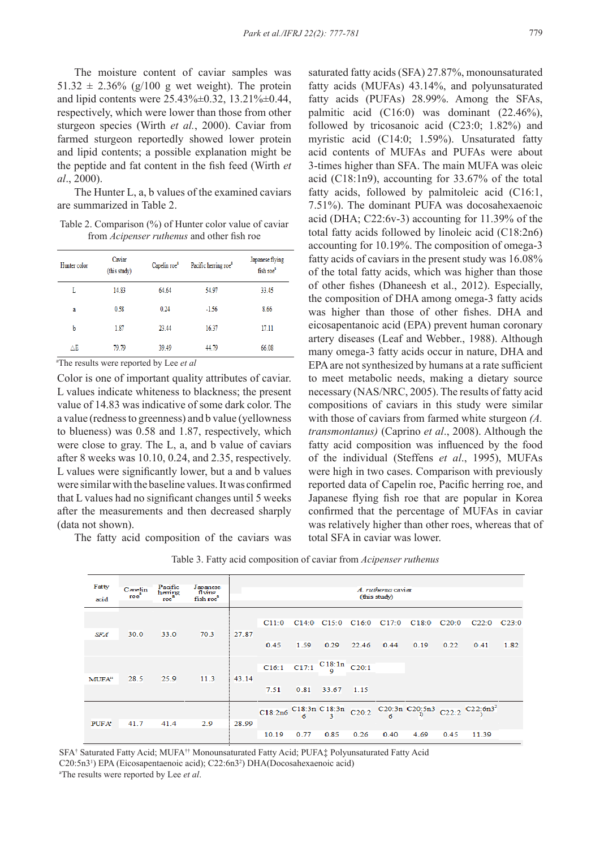The moisture content of caviar samples was  $51.32 \pm 2.36\%$  (g/100 g wet weight). The protein and lipid contents were 25.43%±0.32, 13.21%±0.44, respectively, which were lower than those from other sturgeon species (Wirth *et al.*, 2000). Caviar from farmed sturgeon reportedly showed lower protein and lipid contents; a possible explanation might be the peptide and fat content in the fish feed (Wirth *et al*., 2000).

The Hunter L, a, b values of the examined caviars are summarized in Table 2.

Table 2. Comparison (%) of Hunter color value of caviar from *Acipenser ruthenus* and other fish roe

| Hunter color | Caviar<br>(this study) | Capelin roe <sup>a</sup> | Pacific herring roe <sup>®</sup> | Japanese flying<br>fish roe <sup>a</sup> |
|--------------|------------------------|--------------------------|----------------------------------|------------------------------------------|
| L            | 14.83                  | 64.64                    | 54.97                            | 33.45                                    |
| a            | 0.58                   | 0.24                     | $-1.56$                          | 8.66                                     |
| b            | 1.87                   | 23.44                    | 16.37                            | 17.11                                    |
| ΔE           | 79.79                  | 39.49                    | 44.79                            | 66.08                                    |

a The results were reported by Lee *et al*

Color is one of important quality attributes of caviar. L values indicate whiteness to blackness; the present value of 14.83 was indicative of some dark color. The a value (redness to greenness) and b value (yellowness to blueness) was 0.58 and 1.87, respectively, which were close to gray. The L, a, and b value of caviars after 8 weeks was 10.10, 0.24, and 2.35, respectively. L values were significantly lower, but a and b values were similar with the baseline values. It was confirmed that L values had no significant changes until 5 weeks after the measurements and then decreased sharply (data not shown).

The fatty acid composition of the caviars was

saturated fatty acids (SFA) 27.87%, monounsaturated fatty acids (MUFAs) 43.14%, and polyunsaturated fatty acids (PUFAs) 28.99%. Among the SFAs, palmitic acid (C16:0) was dominant (22.46%), followed by tricosanoic acid (C23:0; 1.82%) and myristic acid (C14:0; 1.59%). Unsaturated fatty acid contents of MUFAs and PUFAs were about 3-times higher than SFA. The main MUFA was oleic acid (C18:1n9), accounting for 33.67% of the total fatty acids, followed by palmitoleic acid (C16:1, 7.51%). The dominant PUFA was docosahexaenoic acid (DHA; C22:6v-3) accounting for 11.39% of the total fatty acids followed by linoleic acid (C18:2n6) accounting for 10.19%. The composition of omega-3 fatty acids of caviars in the present study was 16.08% of the total fatty acids, which was higher than those of other fishes (Dhaneesh et al., 2012). Especially, the composition of DHA among omega-3 fatty acids was higher than those of other fishes. DHA and eicosapentanoic acid (EPA) prevent human coronary artery diseases (Leaf and Webber., 1988). Although many omega-3 fatty acids occur in nature, DHA and EPA are not synthesized by humans at a rate sufficient to meet metabolic needs, making a dietary source necessary (NAS/NRC, 2005). The results of fatty acid compositions of caviars in this study were similar with those of caviars from farmed white sturgeon *(A. transmontanus)* (Caprino *et al*., 2008). Although the fatty acid composition was influenced by the food of the individual (Steffens *et al*., 1995), MUFAs were high in two cases. Comparison with previously reported data of Capelin roe, Pacific herring roe, and Japanese flying fish roe that are popular in Korea confirmed that the percentage of MUFAs in caviar was relatively higher than other roes, whereas that of total SFA in caviar was lower.

| Fatty<br>acid      | Canelin<br>roe | Pacific<br>heming<br>roe <sup>-</sup> | Japanese<br>flving<br>fish roe <sup>8</sup> |       |               |      |                                         |               | A ruthemus caviar<br>(this study) |                                             |      |                                                                                |      |
|--------------------|----------------|---------------------------------------|---------------------------------------------|-------|---------------|------|-----------------------------------------|---------------|-----------------------------------|---------------------------------------------|------|--------------------------------------------------------------------------------|------|
| <b>SFA</b>         | 30.0           | 33.0                                  | 70.3                                        | 27.87 | C11:0<br>0.45 | 1.59 | 0.29                                    | 22.46         | 0.44                              | C14:0 C15:0 C16:0 C17:0 C18:0 C20:0<br>0.19 | 0.22 | $C22:0$ $C23:0$<br>0.41                                                        | 1.82 |
| MUFA <sup>++</sup> | 28.5           | 25.9                                  | 11.3                                        | 43.14 | 7.51          | 0.81 | C16:1 C17:1 $\frac{C18:1n}{9}$<br>33.67 | C20:1<br>1.15 |                                   |                                             |      |                                                                                |      |
| PUFA <sup>+</sup>  | 41.7           | 41.4                                  | 2.9                                         | 28.99 | 10.19         | 0.77 | 0.85                                    | 0.26          | 0.40                              | 4.69                                        | 0.45 | C18:2n6 C18:3n C18:3n C20:2 C20:3n C20:5n3 C22:2 C22:6n3 <sup>2</sup><br>11.39 |      |

Table 3. Fatty acid composition of caviar from *Acipenser ruthenus*

SFA† Saturated Fatty Acid; MUFA†† Monounsaturated Fatty Acid; PUFA‡ Polyunsaturated Fatty Acid C20:5n3<sup>1</sup>) EPA (Eicosapentaenoic acid); C22:6n3<sup>2</sup>) DHA(Docosahexaenoic acid) a The results were reported by Lee *et al*.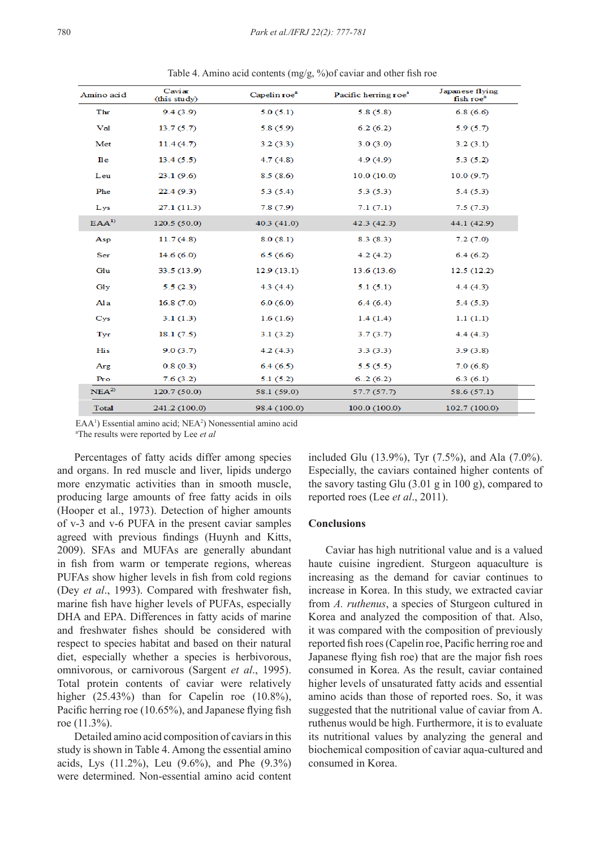| Amino acid       | Caviar<br>(this study) | Capelin roe <sup>®</sup> | Pacific herring roe <sup>®</sup> | Japanese flying<br>fish roe <sup>a</sup> |
|------------------|------------------------|--------------------------|----------------------------------|------------------------------------------|
| Thr              | 9.4(3.9)               | 5.0(5.1)                 | 5.8(5.8)                         | 6.8(6.6)                                 |
| Val              | 13.7(5.7)              | 5.8(5.9)                 | 6.2(6.2)                         | 5.9(5.7)                                 |
| Met              | 11.4(4.7)              | 3.2(3.3)                 | 3.0(3.0)                         | 3.2(3.1)                                 |
| $\mathbf{I}$ le  | 13.4(5.5)              | 4.7(4.8)                 | 4.9(4.9)                         | 5.3(5.2)                                 |
| Leu              | 23.1(9.6)              | 8.5(8.6)                 | 10.0(10.0)                       | 10.0(9.7)                                |
| Phe              | 22.4(9.3)              | 5.3(5.4)                 | 5.3(5.3)                         | 5.4(5.3)                                 |
| Lys              | 27.1(11.3)             | 7.8(7.9)                 | 7.1(7.1)                         | 7.5(7.3)                                 |
| EAA <sup>1</sup> | 120.5(50.0)            | 40.3 (41.0)              | 42.3 (42.3)                      | 44.1 (42.9)                              |
| Asp              | 11.7(4.8)              | 8.0(8.1)                 | 8.3(8.3)                         | 7.2(7.0)                                 |
| Ser              | 14.6(6.0)              | 6.5(6.6)                 | 4.2(4.2)                         | 6.4(6.2)                                 |
| Glu              | 33.5(13.9)             | 12.9(13.1)               | 13.6(13.6)                       | 12.5(12.2)                               |
| Gly              | 5.5(2.3)               | 4.3(4.4)                 | 5.1(5.1)                         | 4.4(4.3)                                 |
| Ala              | 16.8(7.0)              | 6.0(6.0)                 | 6.4(6.4)                         | 5.4(5.3)                                 |
| Cys              | 3.1(1.3)               | 1.6(1.6)                 | 1.4(1.4)                         | 1.1(1.1)                                 |
| Tyr              | 18.1(7.5)              | 3.1(3.2)                 | 3.7(3.7)                         | 4.4(4.3)                                 |
| His              | 9.0(3.7)               | 4.2(4.3)                 | 3.3(3.3)                         | 3.9(3.8)                                 |
| Arg              | 0.8(0.3)               | 6.4(6.5)                 | 5.5(5.5)                         | 7.0(6.8)                                 |
| Pro              | 7.6(3.2)               | 5.1(5.2)                 | 6.2(6.2)                         | 6.3(6.1)                                 |
| NEA <sup>2</sup> | 120.7 (50.0)           | 58.1 (59.0)              | 57.7 (57.7)                      | 58.6 (57.1)                              |
| Total            | 241.2 (100.0)          | 98.4 (100.0)             | 100.0 (100.0)                    | 102.7 (100.0)                            |

Table 4. Amino acid contents (mg/g, %)of caviar and other fish roe

EAA<sup>1</sup>) Essential amino acid; NEA<sup>2</sup>) Nonessential amino acid a The results were reported by Lee *et al*

Percentages of fatty acids differ among species and organs. In red muscle and liver, lipids undergo more enzymatic activities than in smooth muscle, producing large amounts of free fatty acids in oils (Hooper et al., 1973). Detection of higher amounts of v-3 and v-6 PUFA in the present caviar samples agreed with previous findings (Huynh and Kitts, 2009). SFAs and MUFAs are generally abundant in fish from warm or temperate regions, whereas PUFAs show higher levels in fish from cold regions (Dey *et al*., 1993). Compared with freshwater fish, marine fish have higher levels of PUFAs, especially DHA and EPA. Differences in fatty acids of marine and freshwater fishes should be considered with respect to species habitat and based on their natural diet, especially whether a species is herbivorous, omnivorous, or carnivorous (Sargent *et al*., 1995). Total protein contents of caviar were relatively higher  $(25.43\%)$  than for Capelin roe  $(10.8\%)$ , Pacific herring roe (10.65%), and Japanese flying fish roe (11.3%).

Detailed amino acid composition of caviars in this study is shown in Table 4. Among the essential amino acids, Lys (11.2%), Leu (9.6%), and Phe (9.3%) were determined. Non-essential amino acid content included Glu (13.9%), Tyr (7.5%), and Ala (7.0%). Especially, the caviars contained higher contents of the savory tasting Glu (3.01 g in 100 g), compared to reported roes (Lee *et al*., 2011).

# **Conclusions**

Caviar has high nutritional value and is a valued haute cuisine ingredient. Sturgeon aquaculture is increasing as the demand for caviar continues to increase in Korea. In this study, we extracted caviar from *A. ruthenus*, a species of Sturgeon cultured in Korea and analyzed the composition of that. Also, it was compared with the composition of previously reported fish roes (Capelin roe, Pacific herring roe and Japanese flying fish roe) that are the major fish roes consumed in Korea. As the result, caviar contained higher levels of unsaturated fatty acids and essential amino acids than those of reported roes. So, it was suggested that the nutritional value of caviar from A. ruthenus would be high. Furthermore, it is to evaluate its nutritional values by analyzing the general and biochemical composition of caviar aqua-cultured and consumed in Korea.